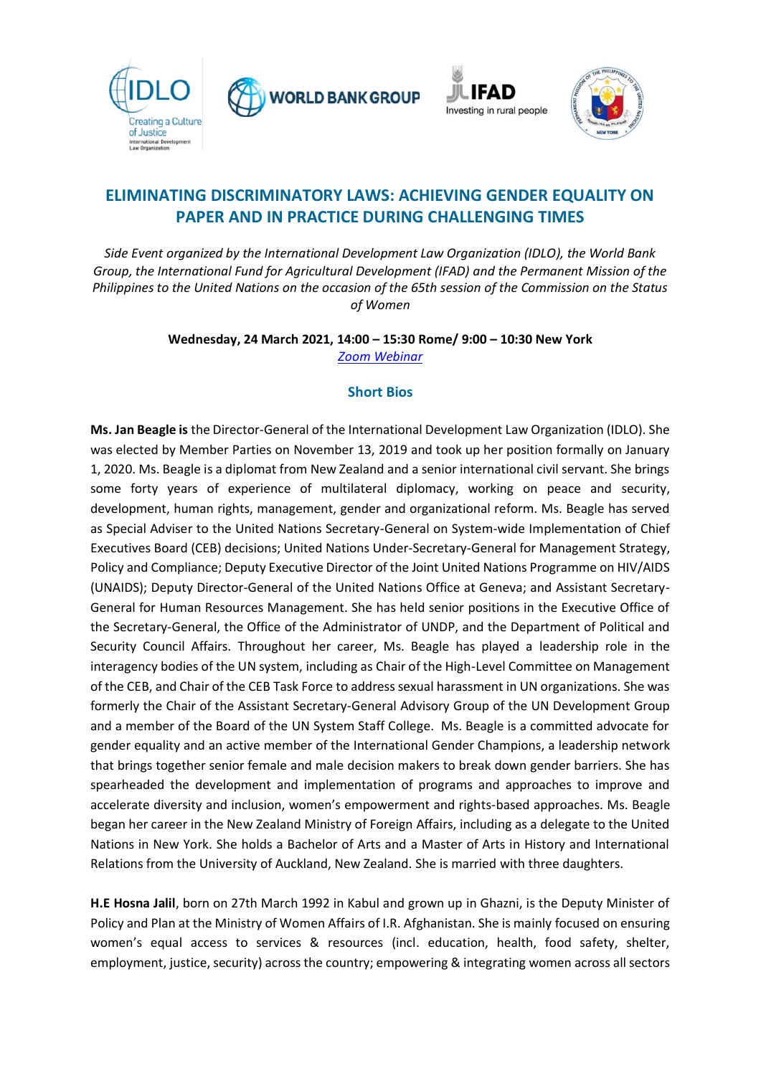





## **ELIMINATING DISCRIMINATORY LAWS: ACHIEVING GENDER EQUALITY ON PAPER AND IN PRACTICE DURING CHALLENGING TIMES**

*Side Event organized by the International Development Law Organization (IDLO), the World Bank Group, the International Fund for Agricultural Development (IFAD) and the Permanent Mission of the Philippines to the United Nations on the occasion of the 65th session of the Commission on the Status of Women*

> **Wednesday, 24 March 2021, 14:00 – 15:30 Rome/ 9:00 – 10:30 New York**  *Zoom [Webinar](https://zoom.us/webinar/register/WN_cmBSbin8QtmYQlVDr9aNAw)*

## **Short Bios**

**Ms. Jan Beagle is** the Director-General of the International Development Law Organization (IDLO). She was elected by Member Parties on November 13, 2019 and took up her position formally on January 1, 2020. Ms. Beagle is a diplomat from New Zealand and a senior international civil servant. She brings some forty years of experience of multilateral diplomacy, working on peace and security, development, human rights, management, gender and organizational reform. Ms. Beagle has served as Special Adviser to the United Nations Secretary-General on System-wide Implementation of Chief Executives Board (CEB) decisions; United Nations Under-Secretary-General for Management Strategy, Policy and Compliance; Deputy Executive Director of the Joint United Nations Programme on HIV/AIDS (UNAIDS); Deputy Director-General of the United Nations Office at Geneva; and Assistant Secretary-General for Human Resources Management. She has held senior positions in the Executive Office of the Secretary-General, the Office of the Administrator of UNDP, and the Department of Political and Security Council Affairs. Throughout her career, Ms. Beagle has played a leadership role in the interagency bodies of the UN system, including as Chair of the High-Level Committee on Management of the CEB, and Chair of the CEB Task Force to address sexual harassment in UN organizations. She was formerly the Chair of the Assistant Secretary-General Advisory Group of the UN Development Group and a member of the Board of the UN System Staff College. Ms. Beagle is a committed advocate for gender equality and an active member of the International Gender Champions, a leadership network that brings together senior female and male decision makers to break down gender barriers. She has spearheaded the development and implementation of programs and approaches to improve and accelerate diversity and inclusion, women's empowerment and rights-based approaches. Ms. Beagle began her career in the New Zealand Ministry of Foreign Affairs, including as a delegate to the United Nations in New York. She holds a Bachelor of Arts and a Master of Arts in History and International Relations from the University of Auckland, New Zealand. She is married with three daughters.

**H.E Hosna Jalil**, born on 27th March 1992 in Kabul and grown up in Ghazni, is the Deputy Minister of Policy and Plan at the Ministry of Women Affairs of I.R. Afghanistan. She is mainly focused on ensuring women's equal access to services & resources (incl. education, health, food safety, shelter, employment, justice, security) across the country; empowering & integrating women across all sectors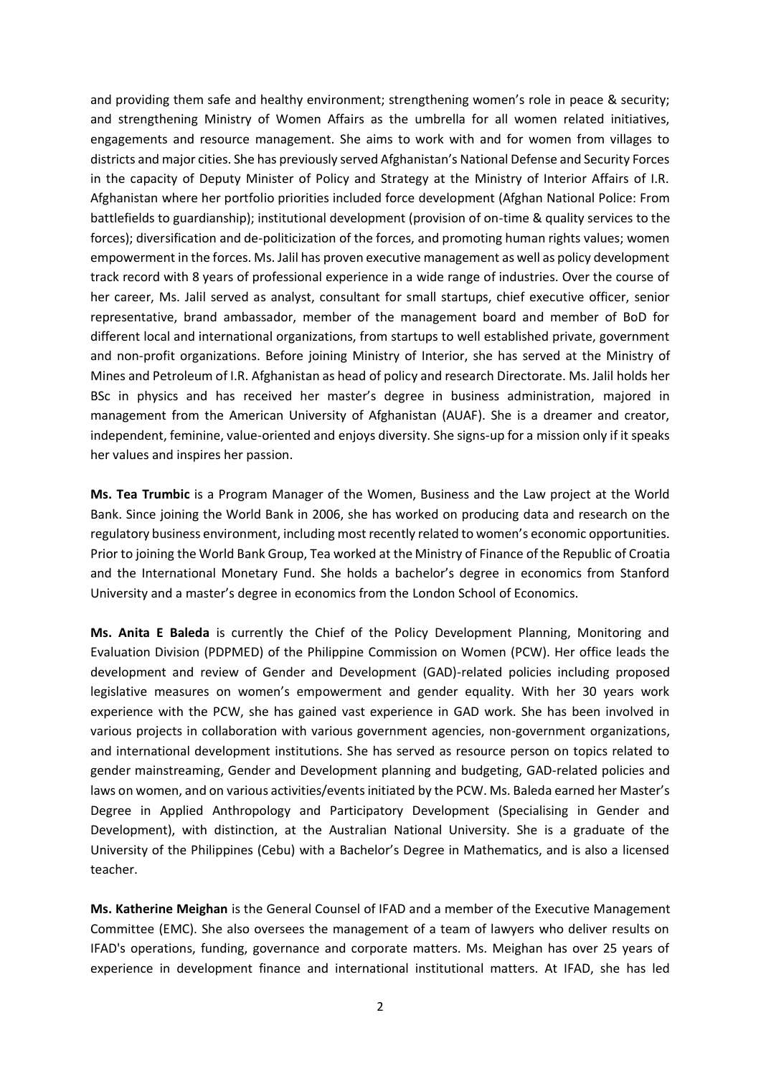and providing them safe and healthy environment; strengthening women's role in peace & security; and strengthening Ministry of Women Affairs as the umbrella for all women related initiatives, engagements and resource management. She aims to work with and for women from villages to districts and major cities. She has previously served Afghanistan's National Defense and Security Forces in the capacity of Deputy Minister of Policy and Strategy at the Ministry of Interior Affairs of I.R. Afghanistan where her portfolio priorities included force development (Afghan National Police: From battlefields to guardianship); institutional development (provision of on-time & quality services to the forces); diversification and de-politicization of the forces, and promoting human rights values; women empowerment in the forces. Ms. Jalil has proven executive management as well as policy development track record with 8 years of professional experience in a wide range of industries. Over the course of her career, Ms. Jalil served as analyst, consultant for small startups, chief executive officer, senior representative, brand ambassador, member of the management board and member of BoD for different local and international organizations, from startups to well established private, government and non-profit organizations. Before joining Ministry of Interior, she has served at the Ministry of Mines and Petroleum of I.R. Afghanistan as head of policy and research Directorate. Ms. Jalil holds her BSc in physics and has received her master's degree in business administration, majored in management from the American University of Afghanistan (AUAF). She is a dreamer and creator, independent, feminine, value-oriented and enjoys diversity. She signs-up for a mission only if it speaks her values and inspires her passion.

**Ms. Tea Trumbic** is a Program Manager of the Women, Business and the Law project at the World Bank. Since joining the World Bank in 2006, she has worked on producing data and research on the regulatory business environment, including most recently related to women's economic opportunities. Prior to joining the World Bank Group, Tea worked at the Ministry of Finance of the Republic of Croatia and the International Monetary Fund. She holds a bachelor's degree in economics from Stanford University and a master's degree in economics from the London School of Economics.

**Ms. Anita E Baleda** is currently the Chief of the Policy Development Planning, Monitoring and Evaluation Division (PDPMED) of the Philippine Commission on Women (PCW). Her office leads the development and review of Gender and Development (GAD)-related policies including proposed legislative measures on women's empowerment and gender equality. With her 30 years work experience with the PCW, she has gained vast experience in GAD work. She has been involved in various projects in collaboration with various government agencies, non-government organizations, and international development institutions. She has served as resource person on topics related to gender mainstreaming, Gender and Development planning and budgeting, GAD-related policies and laws on women, and on various activities/events initiated by the PCW. Ms. Baleda earned her Master's Degree in Applied Anthropology and Participatory Development (Specialising in Gender and Development), with distinction, at the Australian National University. She is a graduate of the University of the Philippines (Cebu) with a Bachelor's Degree in Mathematics, and is also a licensed teacher.

**Ms. Katherine Meighan** is the General Counsel of IFAD and a member of the Executive Management Committee (EMC). She also oversees the management of a team of lawyers who deliver results on IFAD's operations, funding, governance and corporate matters. Ms. Meighan has over 25 years of experience in development finance and international institutional matters. At IFAD, she has led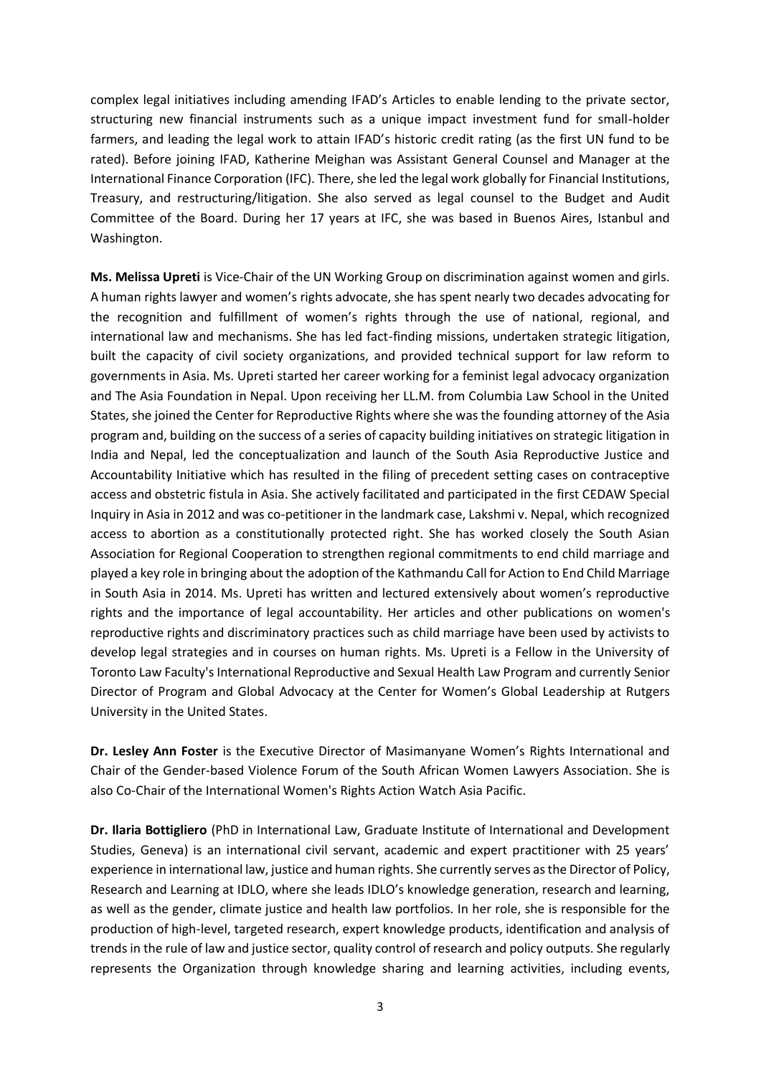complex legal initiatives including amending IFAD's Articles to enable lending to the private sector, structuring new financial instruments such as a unique impact investment fund for small-holder farmers, and leading the legal work to attain IFAD's historic credit rating (as the first UN fund to be rated). Before joining IFAD, Katherine Meighan was Assistant General Counsel and Manager at the International Finance Corporation (IFC). There, she led the legal work globally for Financial Institutions, Treasury, and restructuring/litigation. She also served as legal counsel to the Budget and Audit Committee of the Board. During her 17 years at IFC, she was based in Buenos Aires, Istanbul and Washington.

**Ms. Melissa Upreti** is Vice-Chair of the UN Working Group on discrimination against women and girls. A human rights lawyer and women's rights advocate, she has spent nearly two decades advocating for the recognition and fulfillment of women's rights through the use of national, regional, and international law and mechanisms. She has led fact-finding missions, undertaken strategic litigation, built the capacity of civil society organizations, and provided technical support for law reform to governments in Asia. Ms. Upreti started her career working for a feminist legal advocacy organization and The Asia Foundation in Nepal. Upon receiving her LL.M. from Columbia Law School in the United States, she joined the Center for Reproductive Rights where she was the founding attorney of the Asia program and, building on the success of a series of capacity building initiatives on strategic litigation in India and Nepal, led the conceptualization and launch of the South Asia Reproductive Justice and Accountability Initiative which has resulted in the filing of precedent setting cases on contraceptive access and obstetric fistula in Asia. She actively facilitated and participated in the first CEDAW Special Inquiry in Asia in 2012 and was co-petitioner in the landmark case, Lakshmi v. NepaI, which recognized access to abortion as a constitutionally protected right. She has worked closely the South Asian Association for Regional Cooperation to strengthen regional commitments to end child marriage and played a key role in bringing about the adoption of the Kathmandu Call for Action to End Child Marriage in South Asia in 2014. Ms. Upreti has written and lectured extensively about women's reproductive rights and the importance of legal accountability. Her articles and other publications on women's reproductive rights and discriminatory practices such as child marriage have been used by activists to develop legal strategies and in courses on human rights. Ms. Upreti is a Fellow in the University of Toronto Law Faculty's International Reproductive and Sexual Health Law Program and currently Senior Director of Program and Global Advocacy at the Center for Women's Global Leadership at Rutgers University in the United States.

**Dr. Lesley Ann Foster** is the Executive Director of Masimanyane Women's Rights International and Chair of the Gender-based Violence Forum of the South African Women Lawyers Association. She is also Co-Chair of the International Women's Rights Action Watch Asia Pacific.

**Dr. Ilaria Bottigliero** (PhD in International Law, Graduate Institute of International and Development Studies, Geneva) is an international civil servant, academic and expert practitioner with 25 years' experience in international law, justice and human rights. She currently serves as the Director of Policy, Research and Learning at IDLO, where she leads IDLO's knowledge generation, research and learning, as well as the gender, climate justice and health law portfolios. In her role, she is responsible for the production of high-level, targeted research, expert knowledge products, identification and analysis of trends in the rule of law and justice sector, quality control of research and policy outputs. She regularly represents the Organization through knowledge sharing and learning activities, including events,